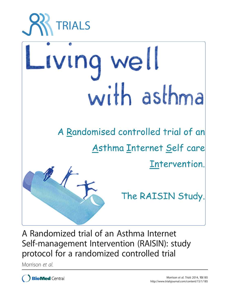

# \_iving well with asthma

A Randomised controlled trial of an **Asthma Internet Self care** 

Intervention.



The RAISIN Study.

A Randomized trial of an Asthma Internet Self-management Intervention (RAISIN): study protocol for a randomized controlled trial

Morrison et al.

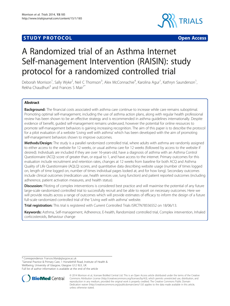### **STUDY PROTOCOL CONSUMING THE CONSUMING OPEN ACCESS**



## A Randomized trial of an Asthma Internet Self-management Intervention (RAISIN): study protocol for a randomized controlled trial

Deborah Morrison<sup>1</sup>, Sally Wyke<sup>2</sup>, Neil C Thomson<sup>3</sup>, Alex McConnachie<sup>4</sup>, Karolina Agur<sup>1</sup>, Kathryn Saunderson<sup>1</sup> , Rekha Chaudhuri<sup>3</sup> and Frances S Mair<sup>1\*</sup>

#### Abstract

**Background:** The financial costs associated with asthma care continue to increase while care remains suboptimal. Promoting optimal self-management, including the use of asthma action plans, along with regular health professional review has been shown to be an effective strategy and is recommended in asthma guidelines internationally. Despite evidence of benefit, guided self-management remains underused, however the potential for online resources to promote self-management behaviors is gaining increasing recognition. The aim of this paper is to describe the protocol for a pilot evaluation of a website 'Living well with asthma' which has been developed with the aim of promoting self-management behaviors shown to improve outcomes.

Methods/Design: The study is a parallel randomized controlled trial, where adults with asthma are randomly assigned to either access to the website for 12 weeks, or usual asthma care for 12 weeks (followed by access to the website if desired). Individuals are included if they are over 16-years-old, have a diagnosis of asthma with an Asthma Control Questionnaire (ACQ) score of greater than, or equal to 1, and have access to the internet. Primary outcomes for this evaluation include recruitment and retention rates, changes at 12 weeks from baseline for both ACQ and Asthma Quality of Life Questionnaire (AQLQ) scores, and quantitative data describing website usage (number of times logged on, length of time logged on, number of times individual pages looked at, and for how long). Secondary outcomes include clinical outcomes (medication use, health services use, lung function) and patient reported outcomes (including adherence, patient activation measures, and health status).

Discussion: Piloting of complex interventions is considered best practice and will maximise the potential of any future large-scale randomized controlled trial to successfully recruit and be able to report on necessary outcomes. Here we will provide results across a range of outcomes which will provide estimates of efficacy to inform the design of a future full-scale randomized controlled trial of the 'Living well with asthma' website.

Trial registration: This trial is registered with Current Controlled Trials [ISRCTN78556552](http://www.controlled-trials.com/ISRCTN78556552/raisin) on 18/06/13.

Keywords: Asthma, Self-management, Adherence, E-health, Randomized controlled trial, Complex intervention, Inhaled corticosteroids, Behaviour change

\* Correspondence: [Frances.Mair@glasgow.ac.uk](mailto:Frances.Mair@glasgow.ac.uk) <sup>1</sup>

<sup>1</sup>General Practice & Primary Care, 1 Horselethill Road, Institute of Health & Wellbeing, University of Glasgow, Glasgow G12 9LX, UK

Full list of author information is available at the end of the article



© 2014 Morrison et al.; licensee BioMed Central Ltd. This is an Open Access article distributed under the terms of the Creative Commons Attribution License [\(http://creativecommons.org/licenses/by/4.0\)](http://creativecommons.org/licenses/by/4.0), which permits unrestricted use, distribution, and reproduction in any medium, provided the original work is properly credited. The Creative Commons Public Domain Dedication waiver [\(http://creativecommons.org/publicdomain/zero/1.0/](http://creativecommons.org/publicdomain/zero/1.0/)) applies to the data made available in this article, unless otherwise stated.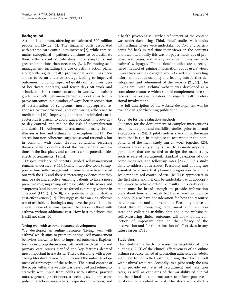#### Background

Asthma is common, affecting an estimated 300 million people worldwide [\[1](#page-6-0)]. The financial costs associated with asthma care continue to increase [[2\]](#page-6-0), while care remains suboptimal - patients continue to overestimate their asthma control, tolerating more symptoms and greater limitations than necessary [[3,4\]](#page-6-0). Promoting selfmanagement, including the use of asthma action plans, along with regular health professional review has been shown to be an effective strategy leading to improved outcomes including improved quality of life, lower rates of healthcare contacts, and fewer days off work and school, and is a recommendation in worldwide asthma guidelines [[5-9](#page-6-0)]. Self-management support aims to improve outcomes in a number of ways: better recognition of deterioration of symptoms, more appropriate responses to exacerbations, and optimizing adherence to medication [[10\]](#page-6-0). Improving adherence to inhaled corticosteroids is crucial to avoid exacerbations, improve day to day control, and reduce the risk of hospitalization and death [[11](#page-6-0)]. Adherence to treatments in many chronic illnesses is low and asthma is no exception [[12,13](#page-6-0)]. Research into non-adherence suggests several rationales, but in common with other chronic conditions recurring themes relate to doubts about the need for the medications in the first place, and concerns about potential sideeffects of treatments [[12,14](#page-6-0)].

Despite evidence of benefits, guided self-management remains underused [\[9-11](#page-6-0)]. Online interactive tools to support asthma self-management in general have been trialed out with the UK and there is increasing evidence that they may be safe and effective, enabling patients to take a more proactive role, improving asthma quality of life scores and symptoms (and in some cases forced expiratory volume in 1 second  $(FEV_1)$  [\[15-18\]](#page-6-0), and potentially demonstrating cost-effectiveness [\[19\]](#page-6-0). This suggests that making effective use of available technologies may have the potential to increase uptake of self-management behaviors in those with asthma, without additional cost. How best to achieve this is still not clear [\[20\]](#page-6-0).

#### 'Living well with asthma' resource development

We developed an online resource 'Living well with asthma' which aims to promote optimal self-management behaviors known to lead to improved outcomes. Exploratory focus group discussions with adults with asthma and primary care nurses clarified the key features deemed most important in a website. These data, along with a preceding literature review [\[20\]](#page-6-0), informed the initial development of a prototype of the website. The actual content of the pages within the website was developed and refined iteratively with input from adults with asthma, practice nurses, general practitioners, a sociologist, human computer interactions researchers, respiratory physicians, and a health psychologist. Further refinement of the content was undertaken using 'Think aloud' studies with adults with asthma. These were undertaken by DM, and participants fed back in real time their views on the contents and usability. Initially this was on paper mock-ups of proposed web pages, and latterly on actual 'Living well with asthma' webpages. 'Think aloud' studies are a recognized method of gaining information about users' views in real time as they navigate around a website, providing information about usability and feeding into further development and refinement of the website [[21,22\]](#page-6-0). The 'Living well with asthma' website was developed as a standalone resource which should complement face-toface asthma reviews, but does not require health professional involvement.

A full description of the website development will be available in a forthcoming publication.

#### Rationale for the evaluation methods

Guidance for the development of complex interventions recommends pilot and feasibility studies prior to formal evaluations [\[23,24](#page-6-0)]. A pilot study is a version of the main study that is run in miniature to test whether the components of the main study can all work together [\[25](#page-6-0)], whereas a feasibility study is used to estimate important parameters that are needed to design the main study, such as ease of recruitment, standard deviations of outcome measures, and follow-up rates [[25](#page-6-0),[26](#page-6-0)]. This study aims to address both issues. Feasibility and piloting are essential to ensure that planned progression to a fullscale randomized controlled trial (RCT) is appropriate in the first place and if it can be undertaken with appropriate power to achieve definitive results. This early evaluation must be broad enough to provide information both about how a full-scale RCT may work in practice but should also have consideration for how the resource may be used beyond the evaluation. Feasibility is investigated through measuring recruitment and retention rates and collecting usability data about the website itself. Measuring clinical outcomes will allow for the collection of important data on the efficacy of the intervention and for the estimation of effect sizes in any future larger RCT.

#### Study aims

This study aims firstly to assess the feasibility of conducting a RCT of the clinical effectiveness of an online asthma resource aimed at promoting adherence in adults with poorly controlled asthma, using the 'Living well with asthma' resource. Secondly, as a pilot study the aim is to provide estimates of recruitment and retention rates, as well as estimates of the variability of clinical and behavioral outcome measures to inform power calculations for a definitive trial. The study will collect a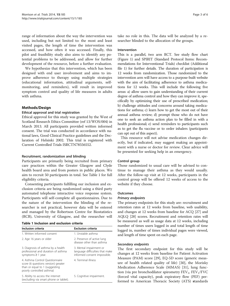range of information about the way the intervention was used, including but not limited to: the most and least visited pages, the length of time the intervention was accessed, and how often it was accessed. Finally, this pilot and feasibility study also aims to identify any potential problems to be addressed, and allow for further development of the resource, before a further evaluation.

We hypothesize that this intervention, which has been designed with end user involvement and aims to improve adherence to therapy using multiple strategies (educational information, attitudinal arguments, selfmonitoring, and reminders), will result in improved symptom control and quality of life measures in adults with asthma.

#### Methods/Design

#### Ethical approval and trial registration

Ethical approval for this study was granted by the West of Scotland Research Ethics Committee (ref 13/WOS/004) in March 2013. All participants provided written informed consent. The trial was conducted in accordance with national laws, Good Clinical Practice guidelines and the Declaration of Helsinki 2002. This trial is registered with Current Controlled Trials ISRCTN78556552.

#### Recruitment, randomization and blinding

Participants are primarily being recruited from primary care practices within the Greater Glasgow and Clyde health board area and from posters in public places. We aim to recruit 50 participants in total. See Table 1 for full eligibility criteria.

Consenting participants fulfilling our inclusion and exclusion criteria are being randomized using a third party automated telephone interactive voice response system. Participants will self-complete all questionnaires. Due to the nature of the intervention the blinding of the researcher is not practical, however data will be entered and managed by the Robertson Centre for Biostatistics (RCB), University of Glasgow, and the researcher will

| Inclusion criteria                                                                                                                    | <b>Exclusion criteria</b>                                                                  |
|---------------------------------------------------------------------------------------------------------------------------------------|--------------------------------------------------------------------------------------------|
| 1. Written informed consent                                                                                                           | 1. Unstable asthma                                                                         |
| 2. Age 16 years or older                                                                                                              | 2. Presence of active lung<br>disease other than asthma                                    |
| 3. Diagnosis of asthma by a health<br>professional and duration of asthma<br>symptoms $\geq 1$ year.                                  | 3. Mental impairment or<br>language difficulties that make<br>informed consent impossible. |
| 4. Asthma Control Ouestionnaire<br>score (6 questions version) greater<br>than or equal to 1 (suggesting<br>poorly controlled asthma) | 4 Terminal illness                                                                         |
| 5. Ability to access the internet<br>(excluding via smart phone or tablet).                                                           | 5. Cognitive impairment.                                                                   |

take no role in this. The data will be analyzed by a researcher blinded to the allocation of the groups.

#### Intervention

This is a parallel, two arm RCT. See study flow chart (Figure [1](#page-4-0)) and SPIRIT (Standard Protocol Items: Recommendations for Interventional Trials) checklist (Additional file [1](#page-5-0)) for further details. The duration of participation is 12 weeks from randomization. Those randomized to the intervention arm will have access to a purpose-built website with the aim of facilitating adherence to asthma medications for 12 weeks. This will include the following five areas: a) allow users to gain understanding of their current degree of asthma control and how they can improve it, specifically by optimizing their use of prescribed medication; b) challenge attitudes and concerns around taking medications for asthma; c) learn how to get the most out of their annual asthma review; d) prompt those who do not have one to seek an asthma action plan to be filled in with a health professional; e) send reminders to participants such as to get the flu vaccine or to order inhalers (participants can opt out of this aspect).

This resource will not advise medication changes directly, but if indicated, may suggest making an appointment with a nurse or doctor for review. Clear advice will be presented for seeking help in an emergency.

#### Control group

Those randomized to usual care will be advised to continue to manage their asthma as they would usually. After the follow-up visit at 12 weeks, participants in the control group will be offered 12 weeks of access to the website if they choose.

#### **Outcomes**

#### Primary endpoints

The primary endpoints for this study are: recruitment and retention rates at 12 weeks from baseline, web usability, and changes at 12 weeks from baseline for ACQ [[27](#page-6-0)] and AQLQ [\[28](#page-6-0)] scores. Recruitment and retention rates will be measured as well as usage data at 12 weeks, including number of times users logged in and total length of time logged in, number of times individual pages were viewed, and length of time spent on each page.

#### Secondary endpoints

The first secondary endpoint for this study will be changes at 12 weeks from baseline for Patient Activation Measure (PAM) score [\[29](#page-6-0)], EQ-5D score (generic measure of health related quality of life) [\[30](#page-6-0)], the Morisky Medication Adherence Scale (MMAS) [[31](#page-6-0)], lung function (via pre bronchodilator spirometry  $FEV_1$ ,  $FEV_1/FVC$ (forced vital capacity), peak expiratory flow (PEF) performed to American Thoracic Society (ATS) standards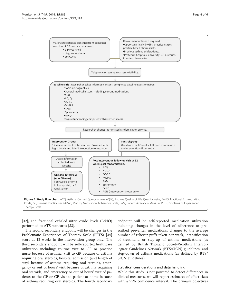#### <span id="page-4-0"></span>Morrison et al. Trials 2014, 15:185 Page 4 of 6 http://www.trialsjournal.com/content/15/1/185



[[32\]](#page-6-0), and fractional exhaled nitric oxide levels (FeNO) performed to ATS standards [[33](#page-6-0)].

The second secondary endpoint will be changes in the Problematic Experiences of Therapy Scale (PETS) [[34](#page-6-0)] score at 12 weeks in the intervention group only. The third secondary endpoint will be self-reported healthcare utilization including: routine visit to GP or practice nurse because of asthma, visit to GP because of asthma requiring oral steroids, hospital admission (and length of stay) because of asthma requiring oral steroids, emergency or out of hours' visit because of asthma requiring oral steroids, and emergency or out of hours' visit of patients to the GP or GP visit to patient at home because of asthma requiring oral steroids. The fourth secondary

endpoint will be self-reported medication utilization including: changes in the level of adherence to prescribed preventer medications, changes to the average number of reliever puffs taken per week, intensification of treatment, or step-up of asthma medications (as defined by British Thoracic Society/Scottish Intercollegiate Guidelines Network (BTS/SIGN) guidelines, and step-down of asthma medications (as defined by BTS/ SIGN guidelines).

#### Statistical considerations and data handling

While this study is not powered to detect differences in clinical measures, we will report estimates of effect sizes with a 95% confidence interval. The primary objectives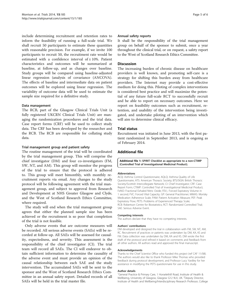<span id="page-5-0"></span>include determining recruitment and retention rates to inform the feasibility of running a full-scale trial. We shall recruit 50 participants to estimate these quantities with reasonable precision. For example, if we invite 100 participants to recruit 50, the recruitment rate would be estimated with a confidence interval of  $\pm$  10%. Patient characteristics and outcomes will be summarized at baseline, at follow-up, and as changes over baseline. Study groups will be compared using baseline-adjusted linear regression (analysis of covariance (ANCOVA). The effects of baseline and intermediate data on patient outcomes will be explored using linear regression. The variability of outcome data will be used to estimate the sample size required for a definitive study.

#### Data management

The RCB, part of the Glasgow Clinical Trials Unit (a fully registered UKCRN Clinical Trials Unit) are managing the randomization procedures and the trial data. Case report forms (CRF) will be used to collect study data. The CRF has been developed by the researcher and the RCB. The RCB are responsible for collating study data.

#### Trial management group and patient safety

The routine management of the trial will be coordinated by the trial management group. This will comprise the chief investigator (DM) and four co-investigators (FM, SW, NT, and AM). This group will monitor the progress of the trial to ensure that the protocol is adhered to. This group will meet bimonthly, with monthly recruitment reports via email. Any changes to the study protocol will be following agreement with the trial management group, and subject to approval from Research and Development at NHS Greater Glasgow and Clyde, and the West of Scotland Research Ethics Committee, where required.

The study will end when the trial management group agrees that either the planned sample size has been achieved or the recruitment is so poor that completion of the trial is not feasible.

Only adverse events that are outcome measures will be recorded. All serious adverse events (SAEs) will be recorded at follow-up. All SAEs will be assessed for causality, expectedness, and severity. This assessment is the responsibility of the chief investigator (CI). The trial team will record all SAEs. The CI will endeavor to obtain sufficient information to determine the causality of the adverse event and must provide an opinion of the causal relationship between each SAE and the study intervention. The accumulated SAEs will be sent to the sponsor and the West of Scotland Research Ethics Committee in an annual safety report. Detailed records of all SAEs will be held in the trial master file.

#### Annual safety reports

It shall be the responsibility of the trial management group on behalf of the sponsor to submit, once a year throughout the clinical trial, or on request, a safety report to the West of Scotland Research Ethics Committee.

#### **Discussion**

The increasing burden of chronic disease on healthcare providers is well known, and promoting self-care is a strategy for shifting this burden away from healthcare providers. The Internet may provide a cost-effective medium for doing this. Piloting of complex interventions is considered best practice and will maximize the potential of any future full-scale RCT to successfully recruit and be able to report on necessary outcomes. Here we report on feasibility outcomes such as recruitment, retention, and usability of the intervention being investigated, and undertake piloting of an intervention which will aim to determine clinical efficacy.

#### Trial status

Recruitment was initiated in June 2013, with the first patient randomized in September 2013, and is ongoing as of February 2014.

#### Additional file

[Additional file 1:](http://www.biomedcentral.com/content/supplementary/1745-6215-15-185-S1.pdf) SPIRIT Checklist as appropriate to a non-CTIMP (Controlled Trial of Investigational Medicinal Product).

#### Abbreviations

ACQ: Asthma Control Questionnaire; AQLQ: Asthma Quality of Life Questionnaire; ATS: American Thoracic Society; BTS/SIGN: British Thoracic Society/Scottish Intercollegiate Network; CI: Chief Investigator; CRF: Case Report Form; CTIMP: Controlled Trial of Investigational Medicinal Product; FeNO: Fractional Exhaled Nitric Oxide; FEV<sub>1</sub>: Forced Expiratory Volume in 1 second; FVC: Forced Vital Capacity; GP: General Practitioner; MMAS: Morisky Medication Adherence Scale; PAM: Patient Activation Measure; PEF: Peak Expiratory Flow; PETS: Problems of Experienced Therapy Scale; RCB: Robertson Centre for Biostatistics; RCT: Randomized Controlled Trial; SAE: Serious Adverse Event.

#### Competing interests

The authors declare that they have no competing interests.

#### Authors' contributions

DM developed and designed the trial in collaboration with FM, SW, NT, AM, RC. Recruitment of practices or patients was undertaken by DM, KA, KS and FM. Data collection was undertaken by DM, KA and KS. DM wrote the first draft of the protocol and refined it based on comments and feedback from all other authors. All authors read and approved the final manuscript.

#### Acknowledgements

Thanks to the Chief Scientist Office who funded this project (ref CAF 11/08). The authors would also like to thank Professor Mike Thomas who provided feedback during protocol development, and Professor Lucy Yardley for her assistance in modifying the PETS questionnaire for use in this study.

#### Author details

<sup>1</sup>General Practice & Primary Care, 1 Horselethill Road, Institute of Health & Wellbeing, University of Glasgow, Glasgow G12 9LX, UK. <sup>2</sup>Deputy Director, Institute of Health and Wellbeing/Interdisciplinary Research Professor, College